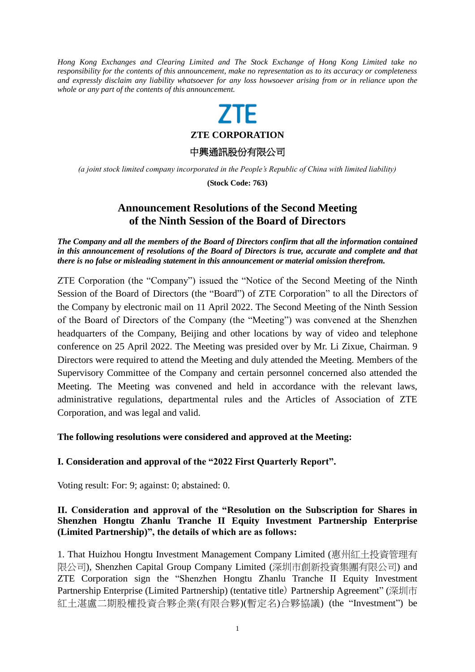*Hong Kong Exchanges and Clearing Limited and The Stock Exchange of Hong Kong Limited take no responsibility for the contents of this announcement, make no representation as to its accuracy or completeness and expressly disclaim any liability whatsoever for any loss howsoever arising from or in reliance upon the whole or any part of the contents of this announcement.*

# **ZTF**

**ZTE CORPORATION**

中興通訊股份有限公司

*(a joint stock limited company incorporated in the People's Republic of China with limited liability)*

**(Stock Code: 763)**

## **Announcement Resolutions of the Second Meeting of the Ninth Session of the Board of Directors**

*The Company and all the members of the Board of Directors confirm that all the information contained in this announcement of resolutions of the Board of Directors is true, accurate and complete and that there is no false or misleading statement in this announcement or material omission therefrom.*

ZTE Corporation (the "Company") issued the "Notice of the Second Meeting of the Ninth Session of the Board of Directors (the "Board") of ZTE Corporation" to all the Directors of the Company by electronic mail on 11 April 2022. The Second Meeting of the Ninth Session of the Board of Directors of the Company (the "Meeting") was convened at the Shenzhen headquarters of the Company, Beijing and other locations by way of video and telephone conference on 25 April 2022. The Meeting was presided over by Mr. Li Zixue, Chairman. 9 Directors were required to attend the Meeting and duly attended the Meeting. Members of the Supervisory Committee of the Company and certain personnel concerned also attended the Meeting. The Meeting was convened and held in accordance with the relevant laws, administrative regulations, departmental rules and the Articles of Association of ZTE Corporation, and was legal and valid.

#### **The following resolutions were considered and approved at the Meeting:**

### **I. Consideration and approval of the "2022 First Quarterly Report".**

Voting result: For: 9; against: 0; abstained: 0.

### **II. Consideration and approval of the "Resolution on the Subscription for Shares in Shenzhen Hongtu Zhanlu Tranche II Equity Investment Partnership Enterprise (Limited Partnership)", the details of which are as follows:**

1. That Huizhou Hongtu Investment Management Company Limited (惠州紅土投資管理有 限公司), Shenzhen Capital Group Company Limited (深圳市創新投資集團有限公司) and ZTE Corporation sign the "Shenzhen Hongtu Zhanlu Tranche II Equity Investment Partnership Enterprise (Limited Partnership) (tentative title) Partnership Agreement" (深圳市 紅土湛盧二期股權投資合夥企業(有限合夥)(暫定名)合夥協議) (the "Investment") be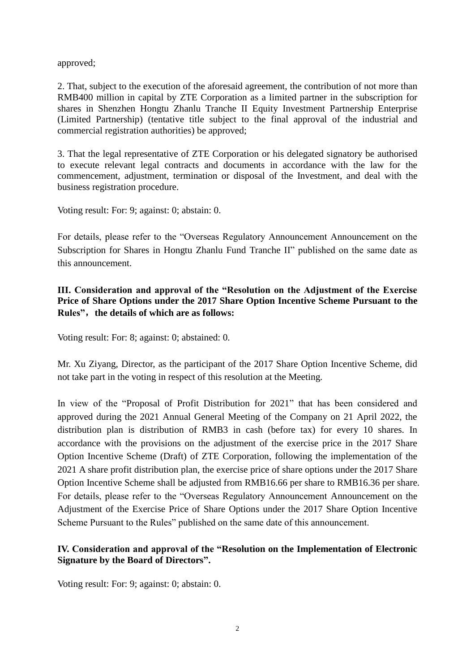approved;

2. That, subject to the execution of the aforesaid agreement, the contribution of not more than RMB400 million in capital by ZTE Corporation as a limited partner in the subscription for shares in Shenzhen Hongtu Zhanlu Tranche II Equity Investment Partnership Enterprise (Limited Partnership) (tentative title subject to the final approval of the industrial and commercial registration authorities) be approved;

3. That the legal representative of ZTE Corporation or his delegated signatory be authorised to execute relevant legal contracts and documents in accordance with the law for the commencement, adjustment, termination or disposal of the Investment, and deal with the business registration procedure.

Voting result: For: 9; against: 0; abstain: 0.

For details, please refer to the "Overseas Regulatory Announcement Announcement on the Subscription for Shares in Hongtu Zhanlu Fund Tranche II" published on the same date as this announcement.

### **III. Consideration and approval of the "Resolution on the Adjustment of the Exercise Price of Share Options under the 2017 Share Option Incentive Scheme Pursuant to the Rules"**,**the details of which are as follows:**

Voting result: For: 8; against: 0; abstained: 0.

Mr. Xu Ziyang, Director, as the participant of the 2017 Share Option Incentive Scheme, did not take part in the voting in respect of this resolution at the Meeting.

In view of the "Proposal of Profit Distribution for 2021" that has been considered and approved during the 2021 Annual General Meeting of the Company on 21 April 2022, the distribution plan is distribution of RMB3 in cash (before tax) for every 10 shares. In accordance with the provisions on the adjustment of the exercise price in the 2017 Share Option Incentive Scheme (Draft) of ZTE Corporation, following the implementation of the 2021 A share profit distribution plan, the exercise price of share options under the 2017 Share Option Incentive Scheme shall be adjusted from RMB16.66 per share to RMB16.36 per share. For details, please refer to the "Overseas Regulatory Announcement Announcement on the Adjustment of the Exercise Price of Share Options under the 2017 Share Option Incentive Scheme Pursuant to the Rules" published on the same date of this announcement.

### **IV. Consideration and approval of the "Resolution on the Implementation of Electronic Signature by the Board of Directors".**

Voting result: For: 9; against: 0; abstain: 0.